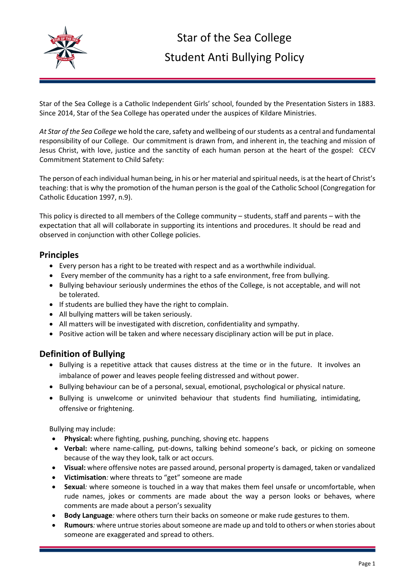

Star of the Sea College is a Catholic Independent Girls' school, founded by the Presentation Sisters in 1883. Since 2014, Star of the Sea College has operated under the auspices of Kildare Ministries.

*At Star of the Sea College* we hold the care, safety and wellbeing of our students as a central and fundamental responsibility of our College. Our commitment is drawn from, and inherent in, the teaching and mission of Jesus Christ, with love, justice and the sanctity of each human person at the heart of the gospel: CECV Commitment Statement to Child Safety:

The person of each individual human being, in his or her material and spiritual needs, is at the heart of Christ's teaching: that is why the promotion of the human person is the goal of the Catholic School (Congregation for Catholic Education 1997, n.9).

This policy is directed to all members of the College community – students, staff and parents – with the expectation that all will collaborate in supporting its intentions and procedures. It should be read and observed in conjunction with other College policies.

### **Principles**

- Every person has a right to be treated with respect and as a worthwhile individual.
- Every member of the community has a right to a safe environment, free from bullying.
- Bullying behaviour seriously undermines the ethos of the College, is not acceptable, and will not be tolerated.
- If students are bullied they have the right to complain.
- All bullying matters will be taken seriously.
- All matters will be investigated with discretion, confidentiality and sympathy.
- Positive action will be taken and where necessary disciplinary action will be put in place.

## **Definition of Bullying**

- Bullying is a repetitive attack that causes distress at the time or in the future. It involves an imbalance of power and leaves people feeling distressed and without power.
- Bullying behaviour can be of a personal, sexual, emotional, psychological or physical nature.
- Bullying is unwelcome or uninvited behaviour that students find humiliating, intimidating, offensive or frightening.

Bullying may include:

- **Physical:** where fighting, pushing, punching, shoving etc. happens
- **Verbal:** where name-calling, put-downs, talking behind someone's back, or picking on someone because of the way they look, talk or act occurs.
- **Visual:** where offensive notes are passed around, personal property is damaged, taken or vandalized
- **Victimisation***:* where threats to "get" someone are made
- **Sexual***:* where someone is touched in a way that makes them feel unsafe or uncomfortable, when rude names, jokes or comments are made about the way a person looks or behaves, where comments are made about a person's sexuality
- **Body Language***:* where others turn their backs on someone or make rude gestures to them.
- **Rumours***:* where untrue stories about someone are made up and told to others or when stories about someone are exaggerated and spread to others.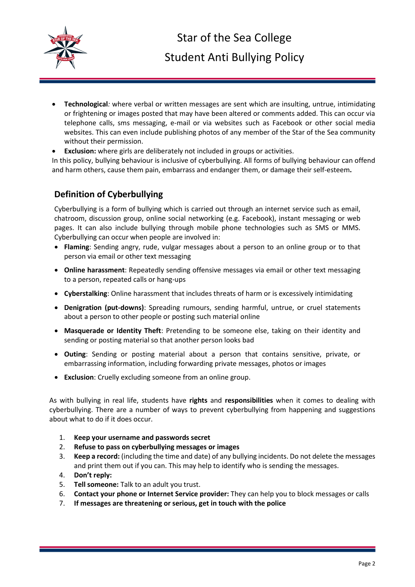

- **Technological***:* where verbal or written messages are sent which are insulting, untrue, intimidating or frightening or images posted that may have been altered or comments added. This can occur via telephone calls, sms messaging, e-mail or via websites such as Facebook or other social media websites. This can even include publishing photos of any member of the Star of the Sea community without their permission.
- **Exclusion:** where girls are deliberately not included in groups or activities.

In this policy, bullying behaviour is inclusive of cyberbullying. All forms of bullying behaviour can offend and harm others, cause them pain, embarrass and endanger them, or damage their self-esteem**.**

# **Definition of Cyberbullying**

Cyberbullying is a form of bullying which is carried out through an internet service such as email, chatroom, discussion group, online social networking (e.g. Facebook), instant messaging or web pages. It can also include bullying through mobile phone technologies such as SMS or MMS. Cyberbullying can occur when people are involved in:

- **Flaming**: Sending angry, rude, vulgar messages about a person to an online group or to that person via email or other text messaging
- **Online harassment**: Repeatedly sending offensive messages via email or other text messaging to a person, repeated calls or hang-ups
- **Cyberstalking**: Online harassment that includes threats of harm or is excessively intimidating
- **Denigration (put-downs)**: Spreading rumours, sending harmful, untrue, or cruel statements about a person to other people or posting such material online
- **Masquerade or Identity Theft**: Pretending to be someone else, taking on their identity and sending or posting material so that another person looks bad
- **Outing**: Sending or posting material about a person that contains sensitive, private, or embarrassing information, including forwarding private messages, photos or images
- **Exclusion**: Cruelly excluding someone from an online group.

As with bullying in real life, students have **rights** and **responsibilities** when it comes to dealing with cyberbullying. There are a number of ways to prevent cyberbullying from happening and suggestions about what to do if it does occur.

- 1. **Keep your username and passwords secret**
- 2. **Refuse to pass on cyberbullying messages or images**
- 3. **Keep a record:** (including the time and date) of any bullying incidents. Do not delete the messages and print them out if you can. This may help to identify who is sending the messages.
- 4. **Don't reply:**
- 5. **Tell someone:** Talk to an adult you trust.
- 6. **Contact your phone or Internet Service provider:** They can help you to block messages or calls
- 7. **If messages are threatening or serious, get in touch with the police**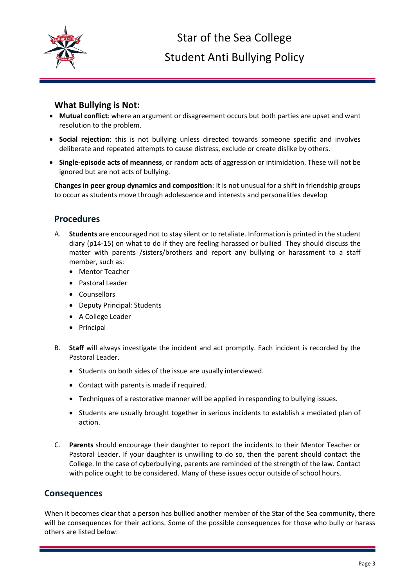

### **What Bullying is Not:**

- **Mutual conflict**: where an argument or disagreement occurs but both parties are upset and want resolution to the problem.
- **Social rejection**: this is not bullying unless directed towards someone specific and involves deliberate and repeated attempts to cause distress, exclude or create dislike by others.
- **Single-episode acts of meanness**, or random acts of aggression or intimidation. These will not be ignored but are not acts of bullying.

**Changes in peer group dynamics and composition**: it is not unusual for a shift in friendship groups to occur as students move through adolescence and interests and personalities develop

## **Procedures**

- A. **Students** are encouraged not to stay silent or to retaliate. Information is printed in the student diary (p14-15) on what to do if they are feeling harassed or bullied They should discuss the matter with parents /sisters/brothers and report any bullying or harassment to a staff member, such as:
	- Mentor Teacher
	- Pastoral Leader
	- Counsellors
	- Deputy Principal: Students
	- A College Leader
	- Principal
- B. **Staff** will always investigate the incident and act promptly. Each incident is recorded by the Pastoral Leader.
	- Students on both sides of the issue are usually interviewed.
	- Contact with parents is made if required.
	- Techniques of a restorative manner will be applied in responding to bullying issues.
	- Students are usually brought together in serious incidents to establish a mediated plan of action.
- C. **Parents** should encourage their daughter to report the incidents to their Mentor Teacher or Pastoral Leader. If your daughter is unwilling to do so, then the parent should contact the College. In the case of cyberbullying, parents are reminded of the strength of the law. Contact with police ought to be considered. Many of these issues occur outside of school hours.

#### **Consequences**

When it becomes clear that a person has bullied another member of the Star of the Sea community, there will be consequences for their actions. Some of the possible consequences for those who bully or harass others are listed below: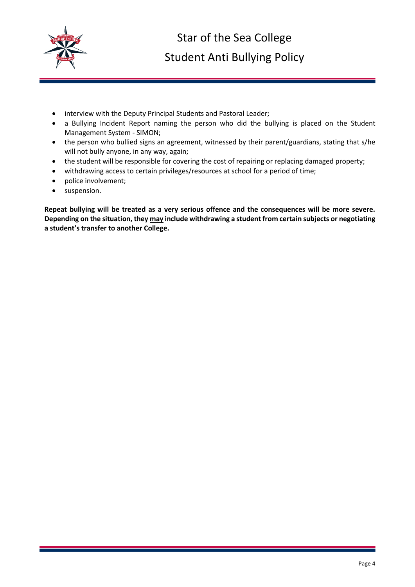

- interview with the Deputy Principal Students and Pastoral Leader;
- a Bullying Incident Report naming the person who did the bullying is placed on the Student Management System - SIMON;
- the person who bullied signs an agreement, witnessed by their parent/guardians, stating that s/he will not bully anyone, in any way, again;
- the student will be responsible for covering the cost of repairing or replacing damaged property;
- withdrawing access to certain privileges/resources at school for a period of time;
- police involvement;
- **•** suspension.

**Repeat bullying will be treated as a very serious offence and the consequences will be more severe. Depending on the situation, they may include withdrawing a student from certain subjects or negotiating a student's transfer to another College.**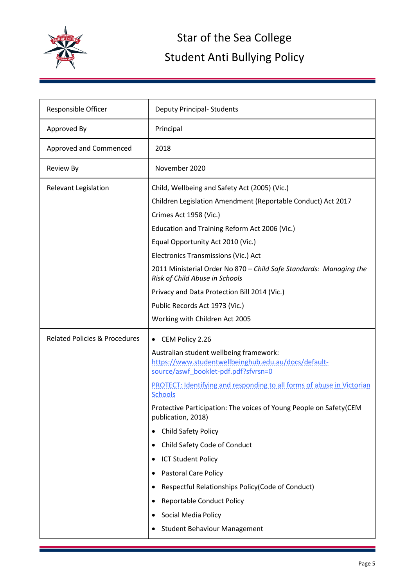

| Approved By<br>Principal<br>Approved and Commenced<br>2018                                                                              |  |
|-----------------------------------------------------------------------------------------------------------------------------------------|--|
|                                                                                                                                         |  |
|                                                                                                                                         |  |
| November 2020<br><b>Review By</b>                                                                                                       |  |
| Relevant Legislation<br>Child, Wellbeing and Safety Act (2005) (Vic.)                                                                   |  |
| Children Legislation Amendment (Reportable Conduct) Act 2017                                                                            |  |
| Crimes Act 1958 (Vic.)                                                                                                                  |  |
| Education and Training Reform Act 2006 (Vic.)                                                                                           |  |
| Equal Opportunity Act 2010 (Vic.)                                                                                                       |  |
| Electronics Transmissions (Vic.) Act                                                                                                    |  |
| 2011 Ministerial Order No 870 - Child Safe Standards: Managing the<br>Risk of Child Abuse in Schools                                    |  |
| Privacy and Data Protection Bill 2014 (Vic.)                                                                                            |  |
| Public Records Act 1973 (Vic.)                                                                                                          |  |
| Working with Children Act 2005                                                                                                          |  |
| <b>Related Policies &amp; Procedures</b><br>CEM Policy 2.26<br>$\bullet$                                                                |  |
| Australian student wellbeing framework:<br>https://www.studentwellbeinghub.edu.au/docs/default-<br>source/aswf_booklet-pdf.pdf?sfvrsn=0 |  |
| PROTECT: Identifying and responding to all forms of abuse in Victorian<br>Schools                                                       |  |
| Protective Participation: The voices of Young People on Safety(CEM<br>publication, 2018)                                                |  |
| Child Safety Policy                                                                                                                     |  |
| Child Safety Code of Conduct<br>٠                                                                                                       |  |
| <b>ICT Student Policy</b><br>٠                                                                                                          |  |
| Pastoral Care Policy                                                                                                                    |  |
| Respectful Relationships Policy (Code of Conduct)                                                                                       |  |
| <b>Reportable Conduct Policy</b><br>٠                                                                                                   |  |
| Social Media Policy                                                                                                                     |  |
| <b>Student Behaviour Management</b>                                                                                                     |  |